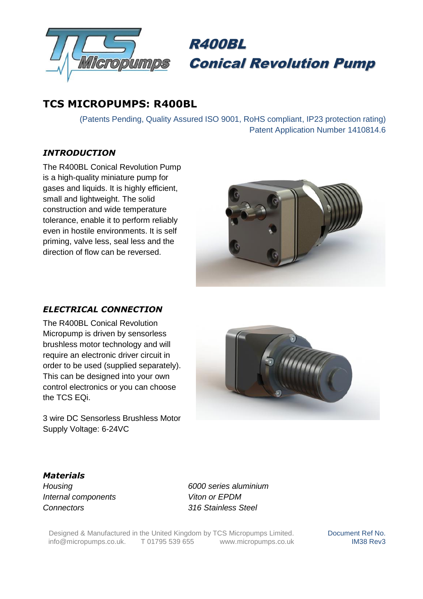



# **TCS MICROPUMPS: R400BL**

(Patents Pending, Quality Assured ISO 9001, RoHS compliant, IP23 protection rating) Patent Application Number 1410814.6

### *INTRODUCTION*

The R400BL Conical Revolution Pump is a high-quality miniature pump for gases and liquids. It is highly efficient, small and lightweight. The solid construction and wide temperature tolerance, enable it to perform reliably even in hostile environments. It is self priming, valve less, seal less and the direction of flow can be reversed.



#### *ELECTRICAL CONNECTION*

The R400BL Conical Revolution Micropump is driven by sensorless brushless motor technology and will require an electronic driver circuit in order to be used (supplied separately). This can be designed into your own control electronics or you can choose the TCS EQi.

3 wire DC Sensorless Brushless Motor Supply Voltage: 6-24VC



# *Materials*

*Internal components Viton or EPDM Connectors 316 Stainless Steel*

*Housing 6000 series aluminium*

Designed & Manufactured in the United Kingdom by TCS Micropumps Limited.<br>
info@micropumps.co.uk. T 01795 539 655 www.micropumps.co.uk  $info@micropumps.co.uk.$  T 01795 539 655

Document Ref No. IM38 Rev3